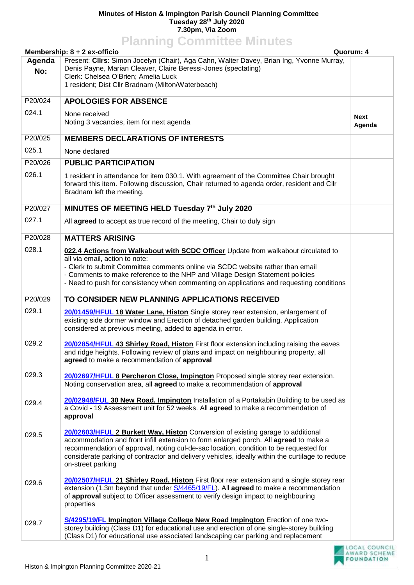## **Minutes of Histon & Impington Parish Council Planning Committee Tuesday 28th July 2020 7.30pm, Via Zoom**

**Planning Committee Minutes Membership: 8 + 2 ex-officio Quorum: 4 Agenda No:** Present: **Cllrs**: Simon Jocelyn (Chair), Aga Cahn, Walter Davey, Brian Ing, Yvonne Murray, Denis Payne, Marian Cleaver, Claire Beressi-Jones (spectating) Clerk: Chelsea O'Brien; Amelia Luck 1 resident; Dist Cllr Bradnam (Milton/Waterbeach) P20/024 024.1 **APOLOGIES FOR ABSENCE** None received Noting 3 vacancies, item for next agenda **Next Agenda** P20/025 025.1 **MEMBERS DECLARATIONS OF INTERESTS** None declared P20/026 026.1 **PUBLIC PARTICIPATION**  1 resident in attendance for item 030.1. With agreement of the Committee Chair brought forward this item. Following discussion, Chair returned to agenda order, resident and Cllr Bradnam left the meeting. P20/027 027.1 **MINUTES OF MEETING HELD Tuesday 7 th July 2020** All **agreed** to accept as true record of the meeting, Chair to duly sign P20/028 028.1 **MATTERS ARISING 022.4 Actions from Walkabout with SCDC Officer** Update from walkabout circulated to all via email, action to note: - Clerk to submit Committee comments online via SCDC website rather than email - Comments to make reference to the NHP and Village Design Statement policies - Need to push for consistency when commenting on applications and requesting conditions P20/029 029.1 029.2 029.3 029.4 029.5 029.6 029.7 **TO CONSIDER NEW PLANNING APPLICATIONS RECEIVED [20/01459/HFUL](https://applications.greatercambridgeplanning.org/online-applications/applicationDetails.do?activeTab=documents&keyVal=Q6DUSMDXM1D00) 18 Water Lane, Histon** Single storey rear extension, enlargement of existing side dormer window and Erection of detached garden building. Application considered at previous meeting, added to agenda in error. **[20/02854/HFUL](https://applications.greatercambridgeplanning.org/online-applications/applicationDetails.do?activeTab=documents&keyVal=QCMP1CDXKOU00) 43 Shirley Road, Histon** First floor extension including raising the eaves and ridge heights. Following review of plans and impact on neighbouring property, all **agreed** to make a recommendation of **approval [20/02697/HFUL](https://applications.greatercambridgeplanning.org/online-applications/applicationDetails.do?activeTab=documents&keyVal=QBZ34EDXK1C00) 8 Percheron Close, Impington** Proposed single storey rear extension. Noting conservation area, all **agreed** to make a recommendation of **approval [20/02948/FUL](https://applications.greatercambridgeplanning.org/online-applications/applicationDetails.do?activeTab=documents&keyVal=QD1WCUDXL4200) 30 New Road, Impington** Installation of a Portakabin Building to be used as a Covid - 19 Assessment unit for 52 weeks. All **agreed** to make a recommendation of **approval [20/02603/HFUL](https://applications.greatercambridgeplanning.org/online-applications/applicationDetails.do?activeTab=documents&keyVal=QBGEUWDXJJI00) 2 Burkett Way, Histon** Conversion of existing garage to additional accommodation and front infill extension to form enlarged porch. All **agreed** to make a recommendation of approval, noting cul-de-sac location, condition to be requested for considerate parking of contractor and delivery vehicles, ideally within the curtilage to reduce on-street parking **[20/02507/HFUL](https://applications.greatercambridgeplanning.org/online-applications/applicationDetails.do?activeTab=documents&keyVal=QAZFQPDXJ2V00) 21 Shirley Road, Histon** First floor rear extension and a single storey rear extension (1.3m beyond that under [S/4465/19/FL\)](https://applications.greatercambridgeplanning.org/online-applications/applicationDetails.do?activeTab=documents&keyVal=ZZZY1DOITV746). All **agreed** to make a recommendation of **approval** subject to Officer assessment to verify design impact to neighbouring properties **[S/4295/19/FL](https://applications.greatercambridgeplanning.org/online-applications/applicationDetails.do?activeTab=documents&keyVal=ZZZY1DOITV833) Impington Village College New Road Impington** Erection of one twostorey building (Class D1) for educational use and erection of one single-storey building (Class D1) for educational use associated landscaping car parking and replacement